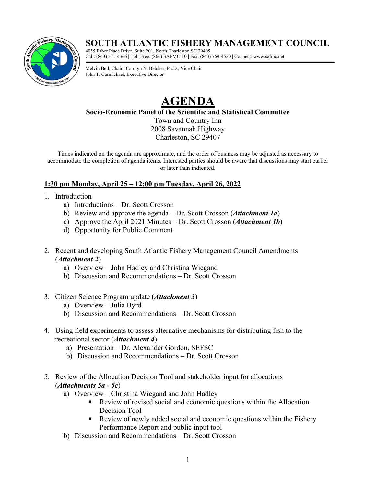# **SOUTH ATLANTIC FISHERY MANAGEMENT COUNCIL**



4055 Faber Place Drive, Suite 201, North Charleston SC 29405 Call: (843) 571-4366 **|** Toll-Free: (866) SAFMC-10 **|** Fax: (843) 769-4520 **|** Connect: www.safmc.net

Melvin Bell, Chair **|** Carolyn N. Belcher, Ph.D., Vice Chair John T. Carmichael, Executive Director

# **AGENDA**

**Socio-Economic Panel of the Scientific and Statistical Committee**

Town and Country Inn 2008 Savannah Highway Charleston, SC 29407

Times indicated on the agenda are approximate, and the order of business may be adjusted as necessary to accommodate the completion of agenda items. Interested parties should be aware that discussions may start earlier or later than indicated.

## **1:30 pm Monday, April 25 – 12:00 pm Tuesday, April 26, 2022**

- 1. Introduction
	- a) Introductions Dr. Scott Crosson
	- b) Review and approve the agenda Dr. Scott Crosson (*Attachment 1a*)
	- c) Approve the April 2021 Minutes Dr. Scott Crosson (*Attachment 1b*)
	- d) Opportunity for Public Comment
- 2. Recent and developing South Atlantic Fishery Management Council Amendments (*Attachment 2*)
	- a) Overview John Hadley and Christina Wiegand
	- b) Discussion and Recommendations Dr. Scott Crosson
- 3. Citizen Science Program update (*Attachment 3***)**
	- a) Overview Julia Byrd
	- b) Discussion and Recommendations Dr. Scott Crosson
- 4. Using field experiments to assess alternative mechanisms for distributing fish to the recreational sector (*Attachment 4*)
	- a) Presentation Dr. Alexander Gordon, SEFSC
	- b) Discussion and Recommendations Dr. Scott Crosson
- 5. Review of the Allocation Decision Tool and stakeholder input for allocations (*Attachments 5a - 5c*)
	- a) Overview Christina Wiegand and John Hadley
		- Review of revised social and economic questions within the Allocation Decision Tool
		- Review of newly added social and economic questions within the Fishery Performance Report and public input tool
	- b) Discussion and Recommendations Dr. Scott Crosson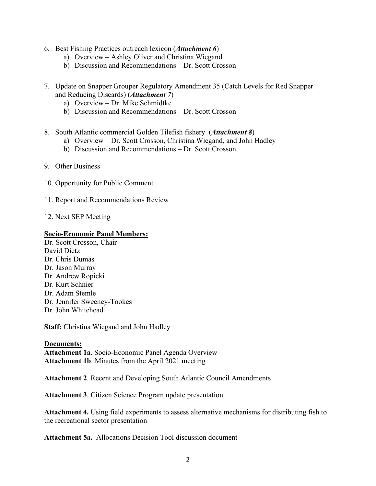- 6. Best Fishing Practices outreach lexicon (*Attachment 6*)
	- a) Overview Ashley Oliver and Christina Wiegand
	- b) Discussion and Recommendations Dr. Scott Crosson
- 7. Update on Snapper Grouper Regulatory Amendment 35 (Catch Levels for Red Snapper and Reducing Discards) (*Attachment 7*)
	- a) Overview Dr. Mike Schmidtke
	- b) Discussion and Recommendations Dr. Scott Crosson
- 8. South Atlantic commercial Golden Tilefish fishery (*Attachment 8*)
	- a) Overview Dr. Scott Crosson, Christina Wiegand, and John Hadley
	- b) Discussion and Recommendations Dr. Scott Crosson
- 9. Other Business
- 10. Opportunity for Public Comment
- 11. Report and Recommendations Review
- 12. Next SEP Meeting

#### **Socio-Economic Panel Members:**

Dr. Scott Crosson, Chair David Dietz Dr. Chris Dumas Dr. Jason Murray Dr. Andrew Ropicki Dr. Kurt Schnier Dr. Adam Stemle Dr. Jennifer Sweeney-Tookes Dr. John Whitehead

**Staff:** Christina Wiegand and John Hadley

#### **Documents:**

**Attachment 1a**. Socio-Economic Panel Agenda Overview **Attachment 1b**. Minutes from the April 2021 meeting

**Attachment 2**. Recent and Developing South Atlantic Council Amendments

**Attachment 3**. Citizen Science Program update presentation

**Attachment 4.** Using field experiments to assess alternative mechanisms for distributing fish to the recreational sector presentation

**Attachment 5a.** Allocations Decision Tool discussion document